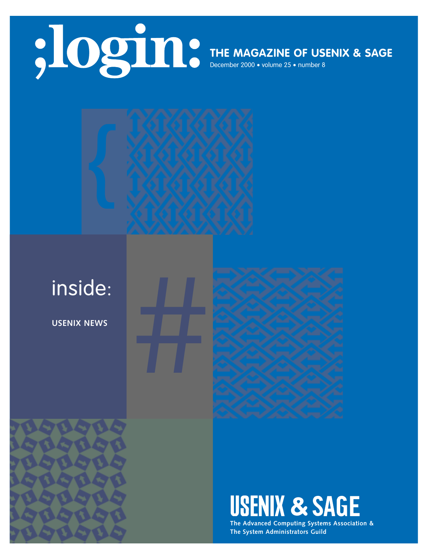

## **THE MAGAZINE OF USENIX & SAGE**

December 2000 • volume 25 • number 8



**USENIX NEWS**





**USENIX & SAGE** 

**The Advanced Computing Systems Association & The System Administrators Guild**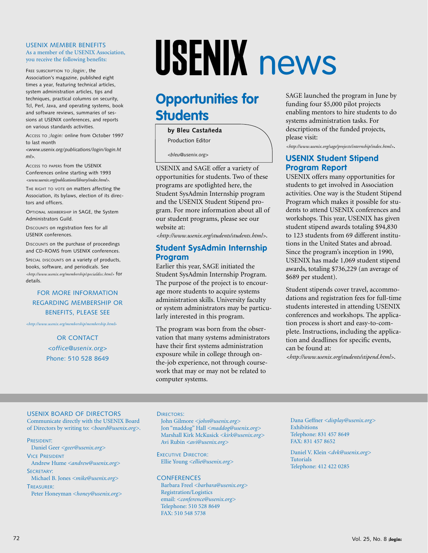#### USENIX MEMBER BENEFITS As a member of the USENIX Association, you receive the following benefits:

FREE SUBSCRIPTION TO ; login:, the Association's magazine, published eight times a year, featuring technical articles, system administration articles, tips and techniques, practical columns on security, Tcl, Perl, Java, and operating systems, book and software reviews, summaries of sessions at USENIX conferences, and reports on various standards activities.

ACCESS TO *;login:* online from October 1997 to last month

*<www.usenix.org/publications/login/login.ht ml>.*

ACCESS TO PAPERS from the USENIX Conferences online starting with 1993 *<www.usenix.org/publications/library/index.html>*.

THE RIGHT TO VOTE on matters affecting the Association, its bylaws, election of its directors and officers.

OPTIONAL MEMBERSHIP in SAGE, the System Administrators Guild.

DISCOUNTS on registration fees for all USENIX conferences.

DISCOUNTS on the purchase of proceedings and CD-ROMS from USENIX conferences.

SPECIAL DISCOUNTS on a variety of products, books, software, and periodicals. See *[<http://www.usenix.org/membership/specialdisc.html>](http://www.usenix.org/membership/specialdisc.html)* for details.

#### FOR MORE INFORMATION REGARDING MEMBERSHIP OR BENEFITS, PLEASE SEE

*[<http://www.usenix.org/membership/membership.html](http://www.usenix.org/membership/membership.html)*>

OR CONTACT *<office@usenix.org*> Phone: 510 528 8649

# USENIX news

## **Opportunities for Students**

**by Bleu Castañeda**

Production Editor

*<bleu@usenix.org>*

USENIX and SAGE offer a variety of opportunities for students. Two of these programs are spotlighted here, the Student SysAdmin Internship program and the USENIX Student Stipend program. For more information about all of our student programs, please see our website at:

*[<http://www.usenix.org/students/students.html>](http://www.usenix.org/students/students.html)*.

### **Student SysAdmin Internship Program**

Earlier this year, SAGE initiated the Student SysAdmin Internship Program. The purpose of the project is to encourage more students to acquire systems administration skills. University faculty or system administrators may be particularly interested in this program.

The program was born from the observation that many systems administrators have their first systems administration exposure while in college through onthe-job experience, not through coursework that may or may not be related to computer systems.

SAGE launched the program in June by funding four \$5,000 pilot projects enabling mentors to hire students to do systems administration tasks. For descriptions of the funded projects, please visit:

*[<http://www.usenix.org/sage/projects/internship/index.html>](http://www.usenix.org/sage/projects/internship/index.html)*.

#### **USENIX Student Stipend Program Report**

USENIX offers many opportunities for students to get involved in Association activities. One way is the Student Stipend Program which makes it possible for students to attend USENIX conferences and workshops. This year, USENIX has given student stipend awards totaling \$94,830 to 123 students from 69 different institutions in the United States and abroad. Since the program's inception in 1990, USENIX has made 1,069 student stipend awards, totaling \$736,229 (an average of \$689 per student).

Student stipends cover travel, accommodations and registration fees for full-time students interested in attending USENIX conferences and workshops. The application process is short and easy-to-complete. Instructions, including the application and deadlines for specific events, can be found at:

*[<http://www.usenix.org/students/stipend.html>](http://www.usenix.org/students/stipend.html)*.

#### USENIX BOARD OF DIRECTORS

Communicate directly with the USENIX Board of Directors by writing to: *<board@usenix.org>*.

PRESIDENT:

Daniel Geer *<geer@usenix.org>* VICE PRESIDENT Andrew Hume *<andrew@usenix.org>*

SECRETARY: Michael B. Jones *<mike@usenix.org>*

TREASURER:

Peter Honeyman *<honey@usenix.org>*

#### DIRECTORS'

John Gilmore *<john@usenix.org>* Jon "maddog" Hall *<maddog@usenix.org>* Marshall Kirk McKusick *<kirk@usenix.org>* Avi Rubin *<avi@usenix.org>*

EXECUTIVE DIRECTOR: Ellie Young *<ellie@usenix.org>*

#### **CONFERENCES**

Barbara Freel *<barbara@usenix.org>* Registration/Logistics email: *<conference@usenix.org>* Telephone: 510 528 8649 FAX: 510 548 5738

Dana Geffner *<display@usenix.org>* Exhibitions Telephone: 831 457 8649 FAX: 831 457 8652

Daniel V. Klein *<dvk@usenix.org>* **Tutorials** Telephone: 412 422 0285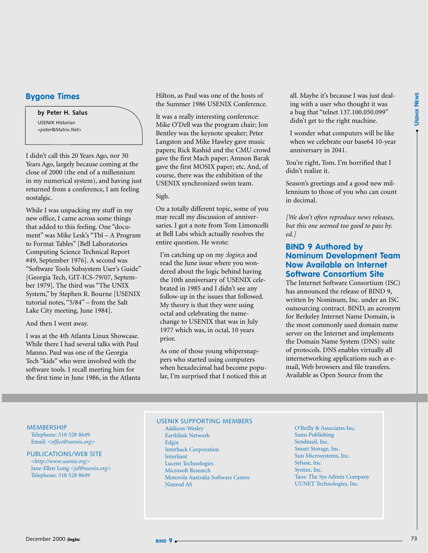●

#### **Bygone Times**

**by Peter H. Salus**

USENIX Historian *<peter@Matrix.Net>*

I didn't call this 20 Years Ago, nor 30 Years Ago, largely because coming at the close of 2000 (the end of a millennium in my numerical system), and having just returned from a conference, I am feeling nostalgic.

While I was unpacking my stuff in my new office, I came across some things that added to this feeling. One "document" was Mike Lesk's "Tbl – A Program to Format Tables" [Bell Laboratories Computing Science Technical Report #49, September 1976]. A second was "Software Tools Subsystem User's Guide" [Georgia Tech, GIT-ICS-79/07, September 1979]. The third was "The UNIX System," by Stephen R. Bourne [USENIX tutorial notes, "5/84" – from the Salt Lake City meeting, June 1984].

And then I went away.

I was at the 4th Atlanta Linux Showcase. While there I had several talks with Paul Manno. Paul was one of the Georgia Tech "kids" who were involved with the software tools. I recall meeting him for the first time in June 1986, in the Atlanta Hilton, as Paul was one of the hosts of the Summer 1986 USENIX Conference.

It was a really interesting conference: Mike O'Dell was the program chair; Jon Bentley was the keynote speaker; Peter Langston and Mike Hawley gave music papers; Rick Rashid and the CMU crowd gave the first Mach paper; Amnon Barak gave the first MOSIX paper; etc. And, of course, there was the exhibition of the USENIX synchronized swim team.

Sigh.

On a totally different topic, some of you may recall my discussion of anniversaries. I got a note from Tom Limoncelli at Bell Labs which actually resolves the entire question. He wrote:

I'm catching up on my *:login;*s and read the June issue where you wondered about the logic behind having the 10th anniversary of USENIX celebrated in 1985 and I didn't see any follow-up in the issues that followed. My theory is that they were using octal and celebrating the namechange to USENIX that was in July 1977 which was, in octal, 10 years prior.

As one of those young whipersnappers who started using computers when hexadecimal had become popular, I'm surprised that I noticed this at all. Maybe it's because I was just dealing with a user who thought it was a bug that "telnet 137.100.050.099" didn't get to the right machine.

I wonder what computers will be like when we celebrate our base64 10-year anniversary in 2041.

You're right, Tom. I'm horrified that I didn't realize it.

Season's greetings and a good new millennium to those of you who can count in decimal.

*[We don't often reproduce news releases, but this one seemed too good to pass by. ed.]*

#### **BIND 9 Authored by Nominum Development Team Now Available on Internet Software Consortium Site**

The Internet Software Consortium (ISC) has announced the release of BIND 9, written by Nominum, Inc. under an ISC outsourcing contract. BIND, an acronym for Berkeley Internet Name Domain, is the most commonly used domain name server on the Internet and implements the Domain Name System (DNS) suite of protocols. DNS enables virtually all internetworking applications such as email, Web browsers and file transfers. Available as Open Source from the

**MEMBERSHIP** Telephone: 510 528 8649

Email: *<office@usenix.org>*

#### PUBLICATIONS/WEB SITE

*[<http://www.usenix.org>](http://www.usenix.org)*  Jane-Ellen Long *<jel@usenix.org>* Telephone: 510 528 8649

USENIX SUPPORTING MEMBERS Addison-Wesley Earthlink Network Edgix Interhack Corporation Interliant Lucent Technologies Microsoft Research

Motorola Australia Software Centre

O'Reilly & Associates Inc. Sams Publishing Sendmail, Inc. Smart Storage, Inc. Sun Microsystems, Inc. Sybase, Inc. Syntax, Inc. Taos: The Sys Admin Company UUNET Technologies, Inc.

Nimrod AS